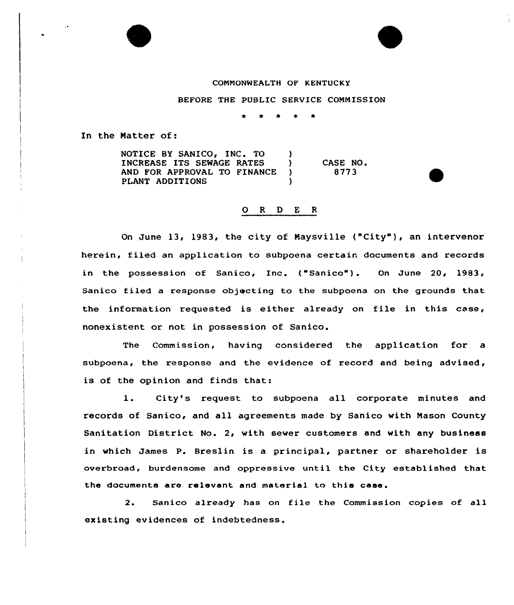## COMMONWEALTH OF KENTUCKY

BEFORE THE PUBLIC SERVICE COMMISSION

In the Matter of:

NOTICE BY SANICO, INC. TO )<br>INCREASE ITS SEWAGE RATES ) INCREASE ITS SEWAGE RATES (19) AND FOR APPROVAL TO FINANCE )<br>PLANT ADDITIONS PLANT ADDITIONS CASE NO. 8773

## 0 <sup>R</sup> <sup>D</sup> E <sup>R</sup>

On June 13, 1983, the city of Maysville ("City" ), an intervenor herein, filed an application to subpoena certain documents and records in the possession of Sanico, Inc. ("Sanico"). On June 20, 1983, Sanico filed a response objecting to the subpoena on the grounds that the information requested is either already on file in this case, nonexistent or not in possession of Sanico.

The Commission, having considered the application for a subpoena, the response and the evidence of record and being advised, is of the opinion and finds that:

1. City's request to subpoena all corporate minutes and records of Sanico, and all agreements made by Sanico with Mason County Sanitation District No. 2, with sewer customers and with any business in which James P. Breslin is a principal, partner or shareholder is overbroad, burdensome and oppressive until the City established that the documents are relevant and material to this case.

2. Sanico already has on file the Commission copies of all existing evidences of indebtedness.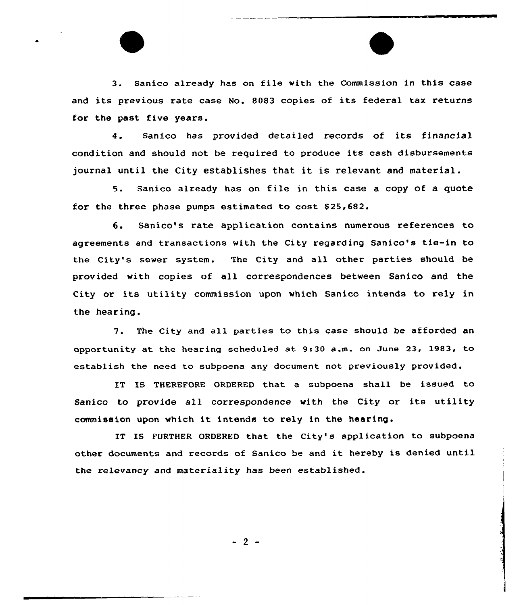3. Sanico already has on file with the Commission in this case and its previous rate case No. 8083 copies of its federal tax returns for the past five years.

4. Sanico has provided detailed records of its financial condition and should not be required to produce its cash disbursements journal until the City establishes that it is relevant and material.

5. Sanico already has on file in this case a copy of a quote for the three phase pumps estimated to cost \$25,682.

6. Sanico's rate application contains numerous references to agreements and transactions with the City regarding Sanico's tie-in to the City's sewer system. The City and all other parties should be provided with copies of all correspondences between Sanico and the City or its utility commission upon which Sanico intends to rely in the hearing .

7. The City and all parties to this case should be afforded an opportunity at the hearing scheduled at 9:30 a.m. on June 23, 1983, to establish the need to subpoena any document not previously provided.

IT IS THEREFORE ORDERED that a subpoena shall be issued to Sanico to provide all correspondence with the City or its utility commission upon which it intends to rely in the hearing.

IT IS FURTHER ORDERED that the City's application to subpoena other documents and records of Sanico be and it hereby is denied until the relevancy and materiality has been established.

 $-2-$